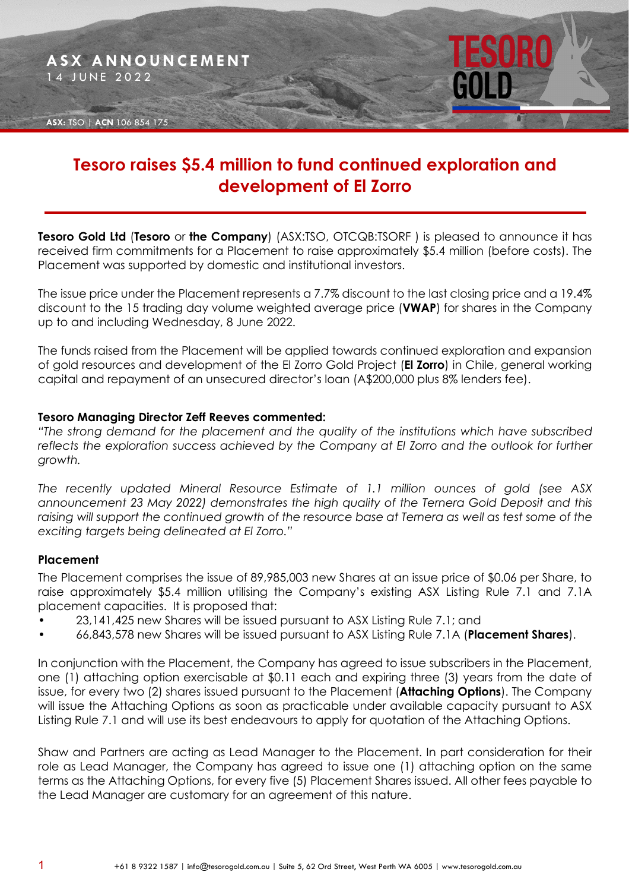

# **Tesoro raises \$5.4 million to fund continued exploration and development of El Zorro**

**Tesoro Gold Ltd** (**Tesoro** or **the Company**) (ASX:TSO, OTCQB:TSORF ) is pleased to announce it has received firm commitments for a Placement to raise approximately \$5.4 million (before costs). The Placement was supported by domestic and institutional investors.

The issue price under the Placement represents a 7.7% discount to the last closing price and a 19.4% discount to the 15 trading day volume weighted average price (**VWAP**) for shares in the Company up to and including Wednesday, 8 June 2022.

The funds raised from the Placement will be applied towards continued exploration and expansion of gold resources and development of the El Zorro Gold Project (**El Zorro**) in Chile, general working capital and repayment of an unsecured director's loan (A\$200,000 plus 8% lenders fee).

#### **Tesoro Managing Director Zeff Reeves commented:**

*"The strong demand for the placement and the quality of the institutions which have subscribed reflects the exploration success achieved by the Company at El Zorro and the outlook for further growth.*

*The recently updated Mineral Resource Estimate of 1.1 million ounces of gold (see ASX announcement 23 May 2022) demonstrates the high quality of the Ternera Gold Deposit and this raising will support the continued growth of the resource base at Ternera as well as test some of the exciting targets being delineated at El Zorro."*

#### **Placement**

The Placement comprises the issue of 89,985,003 new Shares at an issue price of \$0.06 per Share, to raise approximately \$5.4 million utilising the Company's existing ASX Listing Rule 7.1 and 7.1A placement capacities. It is proposed that:

- 23,141,425 new Shares will be issued pursuant to ASX Listing Rule 7.1; and
- 66,843,578 new Shares will be issued pursuant to ASX Listing Rule 7.1A (**Placement Shares**).

In conjunction with the Placement, the Company has agreed to issue subscribers in the Placement, one (1) attaching option exercisable at \$0.11 each and expiring three (3) years from the date of issue, for every two (2) shares issued pursuant to the Placement (**Attaching Options**). The Company will issue the Attaching Options as soon as practicable under available capacity pursuant to ASX Listing Rule 7.1 and will use its best endeavours to apply for quotation of the Attaching Options.

Shaw and Partners are acting as Lead Manager to the Placement. In part consideration for their role as Lead Manager, the Company has agreed to issue one (1) attaching option on the same terms as the Attaching Options, for every five (5) Placement Shares issued. All other fees payable to the Lead Manager are customary for an agreement of this nature.